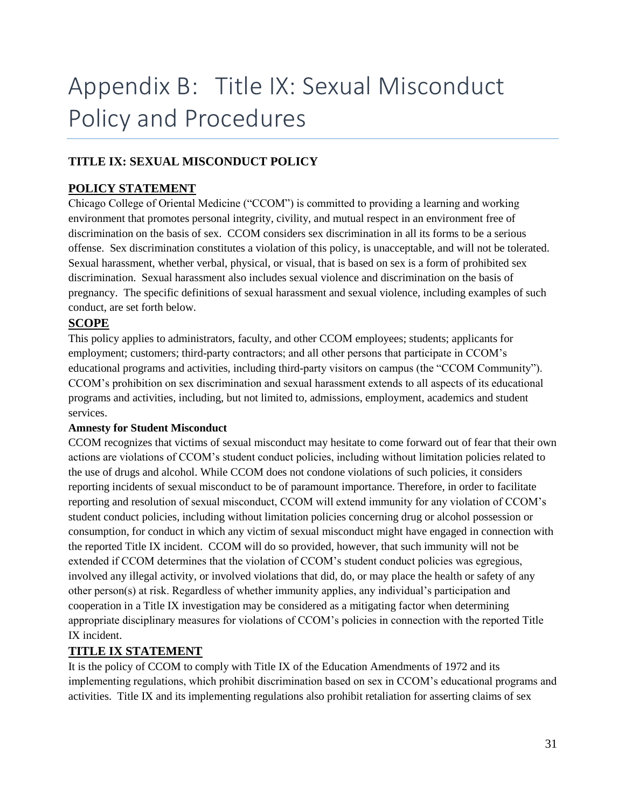# Appendix B: Title IX: Sexual Misconduct Policy and Procedures

# **TITLE IX: SEXUAL MISCONDUCT POLICY**

# **POLICY STATEMENT**

Chicago College of Oriental Medicine ("CCOM") is committed to providing a learning and working environment that promotes personal integrity, civility, and mutual respect in an environment free of discrimination on the basis of sex. CCOM considers sex discrimination in all its forms to be a serious offense. Sex discrimination constitutes a violation of this policy, is unacceptable, and will not be tolerated. Sexual harassment, whether verbal, physical, or visual, that is based on sex is a form of prohibited sex discrimination. Sexual harassment also includes sexual violence and discrimination on the basis of pregnancy. The specific definitions of sexual harassment and sexual violence, including examples of such conduct, are set forth below.

# **SCOPE**

This policy applies to administrators, faculty, and other CCOM employees; students; applicants for employment; customers; third-party contractors; and all other persons that participate in CCOM's educational programs and activities, including third-party visitors on campus (the "CCOM Community"). CCOM's prohibition on sex discrimination and sexual harassment extends to all aspects of its educational programs and activities, including, but not limited to, admissions, employment, academics and student services.

#### **Amnesty for Student Misconduct**

CCOM recognizes that victims of sexual misconduct may hesitate to come forward out of fear that their own actions are violations of CCOM's student conduct policies, including without limitation policies related to the use of drugs and alcohol. While CCOM does not condone violations of such policies, it considers reporting incidents of sexual misconduct to be of paramount importance. Therefore, in order to facilitate reporting and resolution of sexual misconduct, CCOM will extend immunity for any violation of CCOM's student conduct policies, including without limitation policies concerning drug or alcohol possession or consumption, for conduct in which any victim of sexual misconduct might have engaged in connection with the reported Title IX incident. CCOM will do so provided, however, that such immunity will not be extended if CCOM determines that the violation of CCOM's student conduct policies was egregious, involved any illegal activity, or involved violations that did, do, or may place the health or safety of any other person(s) at risk. Regardless of whether immunity applies, any individual's participation and cooperation in a Title IX investigation may be considered as a mitigating factor when determining appropriate disciplinary measures for violations of CCOM's policies in connection with the reported Title IX incident.

# **TITLE IX STATEMENT**

It is the policy of CCOM to comply with Title IX of the Education Amendments of 1972 and its implementing regulations, which prohibit discrimination based on sex in CCOM's educational programs and activities. Title IX and its implementing regulations also prohibit retaliation for asserting claims of sex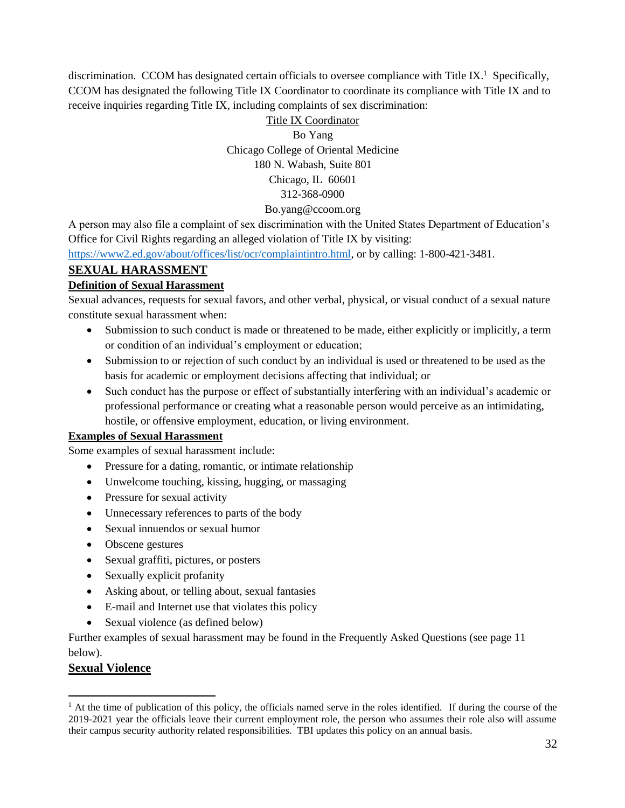discrimination. CCOM has designated certain officials to oversee compliance with Title IX.<sup>1</sup> Specifically, CCOM has designated the following Title IX Coordinator to coordinate its compliance with Title IX and to receive inquiries regarding Title IX, including complaints of sex discrimination:

# Title IX Coordinator Bo Yang Chicago College of Oriental Medicine 180 N. Wabash, Suite 801 Chicago, IL 60601 312-368-0900

# Bo.yang@ccoom.org

A person may also file a complaint of sex discrimination with the United States Department of Education's Office for Civil Rights regarding an alleged violation of Title IX by visiting:

[https://www2.ed.gov/about/offices/list/ocr/complaintintro.html,](https://www2.ed.gov/about/offices/list/ocr/complaintintro.html) or by calling: 1-800-421-3481.

# **SEXUAL HARASSMENT**

#### **Definition of Sexual Harassment**

Sexual advances, requests for sexual favors, and other verbal, physical, or visual conduct of a sexual nature constitute sexual harassment when:

- Submission to such conduct is made or threatened to be made, either explicitly or implicitly, a term or condition of an individual's employment or education;
- Submission to or rejection of such conduct by an individual is used or threatened to be used as the basis for academic or employment decisions affecting that individual; or
- Such conduct has the purpose or effect of substantially interfering with an individual's academic or professional performance or creating what a reasonable person would perceive as an intimidating, hostile, or offensive employment, education, or living environment.

#### **Examples of Sexual Harassment**

Some examples of sexual harassment include:

- Pressure for a dating, romantic, or intimate relationship
- Unwelcome touching, kissing, hugging, or massaging
- Pressure for sexual activity
- Unnecessary references to parts of the body
- Sexual innuendos or sexual humor
- Obscene gestures
- Sexual graffiti, pictures, or posters
- Sexually explicit profanity
- Asking about, or telling about, sexual fantasies
- E-mail and Internet use that violates this policy
- Sexual violence (as defined below)

Further examples of sexual harassment may be found in the Frequently Asked Questions (see page 11 below).

#### **Sexual Violence**

 $\overline{a}$ 

<sup>&</sup>lt;sup>1</sup> At the time of publication of this policy, the officials named serve in the roles identified. If during the course of the 2019-2021 year the officials leave their current employment role, the person who assumes their role also will assume their campus security authority related responsibilities. TBI updates this policy on an annual basis.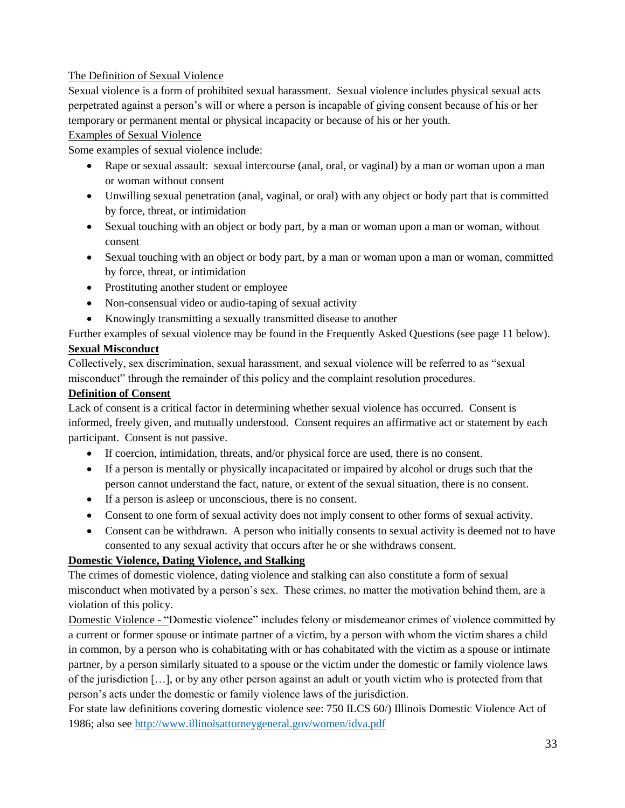# The Definition of Sexual Violence

Sexual violence is a form of prohibited sexual harassment. Sexual violence includes physical sexual acts perpetrated against a person's will or where a person is incapable of giving consent because of his or her temporary or permanent mental or physical incapacity or because of his or her youth.

#### Examples of Sexual Violence

Some examples of sexual violence include:

- Rape or sexual assault: sexual intercourse (anal, oral, or vaginal) by a man or woman upon a man or woman without consent
- Unwilling sexual penetration (anal, vaginal, or oral) with any object or body part that is committed by force, threat, or intimidation
- Sexual touching with an object or body part, by a man or woman upon a man or woman, without consent
- Sexual touching with an object or body part, by a man or woman upon a man or woman, committed by force, threat, or intimidation
- Prostituting another student or employee
- Non-consensual video or audio-taping of sexual activity
- Knowingly transmitting a sexually transmitted disease to another

Further examples of sexual violence may be found in the Frequently Asked Questions (see page 11 below).

#### **Sexual Misconduct**

Collectively, sex discrimination, sexual harassment, and sexual violence will be referred to as "sexual misconduct" through the remainder of this policy and the complaint resolution procedures.

#### **Definition of Consent**

Lack of consent is a critical factor in determining whether sexual violence has occurred. Consent is informed, freely given, and mutually understood. Consent requires an affirmative act or statement by each participant. Consent is not passive.

- If coercion, intimidation, threats, and/or physical force are used, there is no consent.
- If a person is mentally or physically incapacitated or impaired by alcohol or drugs such that the person cannot understand the fact, nature, or extent of the sexual situation, there is no consent.
- If a person is asleep or unconscious, there is no consent.
- Consent to one form of sexual activity does not imply consent to other forms of sexual activity.
- Consent can be withdrawn. A person who initially consents to sexual activity is deemed not to have consented to any sexual activity that occurs after he or she withdraws consent.

#### **Domestic Violence, Dating Violence, and Stalking**

The crimes of domestic violence, dating violence and stalking can also constitute a form of sexual misconduct when motivated by a person's sex. These crimes, no matter the motivation behind them, are a violation of this policy.

Domestic Violence - "Domestic violence" includes felony or misdemeanor crimes of violence committed by a current or former spouse or intimate partner of a victim, by a person with whom the victim shares a child in common, by a person who is cohabitating with or has cohabitated with the victim as a spouse or intimate partner, by a person similarly situated to a spouse or the victim under the domestic or family violence laws of the jurisdiction […], or by any other person against an adult or youth victim who is protected from that person's acts under the domestic or family violence laws of the jurisdiction.

For state law definitions covering domestic violence see: 750 ILCS 60/) Illinois Domestic Violence Act of 1986; also see<http://www.illinoisattorneygeneral.gov/women/idva.pdf>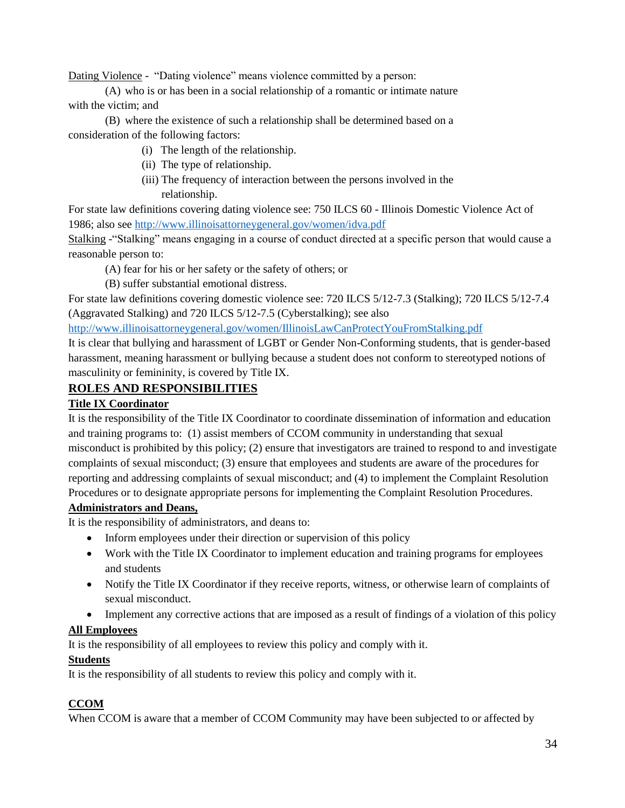Dating Violence - "Dating violence" means violence committed by a person:

(A) who is or has been in a social relationship of a romantic or intimate nature with the victim; and

(B) where the existence of such a relationship shall be determined based on a consideration of the following factors:

- (i) The length of the relationship.
- (ii) The type of relationship.
- (iii) The frequency of interaction between the persons involved in the relationship.

For state law definitions covering dating violence see: 750 ILCS 60 - Illinois Domestic Violence Act of 1986; also see<http://www.illinoisattorneygeneral.gov/women/idva.pdf>

Stalking -"Stalking" means engaging in a course of conduct directed at a specific person that would cause a reasonable person to:

- (A) fear for his or her safety or the safety of others; or
- (B) suffer substantial emotional distress.

For state law definitions covering domestic violence see: 720 ILCS 5/12-7.3 (Stalking); 720 ILCS 5/12-7.4 (Aggravated Stalking) and 720 ILCS 5/12-7.5 (Cyberstalking); see also

<http://www.illinoisattorneygeneral.gov/women/IllinoisLawCanProtectYouFromStalking.pdf>

It is clear that bullying and harassment of LGBT or Gender Non-Conforming students, that is gender-based harassment, meaning harassment or bullying because a student does not conform to stereotyped notions of masculinity or femininity, is covered by Title IX.

# **ROLES AND RESPONSIBILITIES**

#### **Title IX Coordinator**

It is the responsibility of the Title IX Coordinator to coordinate dissemination of information and education and training programs to: (1) assist members of CCOM community in understanding that sexual misconduct is prohibited by this policy; (2) ensure that investigators are trained to respond to and investigate complaints of sexual misconduct; (3) ensure that employees and students are aware of the procedures for reporting and addressing complaints of sexual misconduct; and (4) to implement the Complaint Resolution Procedures or to designate appropriate persons for implementing the Complaint Resolution Procedures.

# **Administrators and Deans,**

It is the responsibility of administrators, and deans to:

- Inform employees under their direction or supervision of this policy
- Work with the Title IX Coordinator to implement education and training programs for employees and students
- Notify the Title IX Coordinator if they receive reports, witness, or otherwise learn of complaints of sexual misconduct.
- Implement any corrective actions that are imposed as a result of findings of a violation of this policy

#### **All Employees**

It is the responsibility of all employees to review this policy and comply with it.

#### **Students**

It is the responsibility of all students to review this policy and comply with it.

# **CCOM**

When CCOM is aware that a member of CCOM Community may have been subjected to or affected by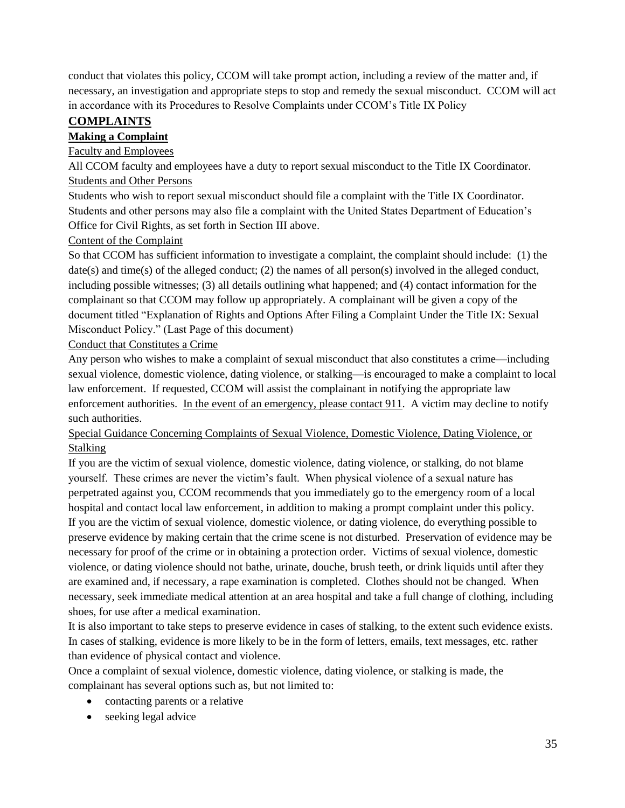conduct that violates this policy, CCOM will take prompt action, including a review of the matter and, if necessary, an investigation and appropriate steps to stop and remedy the sexual misconduct. CCOM will act in accordance with its Procedures to Resolve Complaints under CCOM's Title IX Policy

# **COMPLAINTS**

# **Making a Complaint**

### Faculty and Employees

All CCOM faculty and employees have a duty to report sexual misconduct to the Title IX Coordinator. Students and Other Persons

Students who wish to report sexual misconduct should file a complaint with the Title IX Coordinator. Students and other persons may also file a complaint with the United States Department of Education's Office for Civil Rights, as set forth in Section III above.

# Content of the Complaint

So that CCOM has sufficient information to investigate a complaint, the complaint should include: (1) the  $date(s)$  and time(s) of the alleged conduct; (2) the names of all person(s) involved in the alleged conduct, including possible witnesses; (3) all details outlining what happened; and (4) contact information for the complainant so that CCOM may follow up appropriately. A complainant will be given a copy of the document titled "Explanation of Rights and Options After Filing a Complaint Under the Title IX: Sexual Misconduct Policy." (Last Page of this document)

# Conduct that Constitutes a Crime

Any person who wishes to make a complaint of sexual misconduct that also constitutes a crime—including sexual violence, domestic violence, dating violence, or stalking—is encouraged to make a complaint to local law enforcement. If requested, CCOM will assist the complainant in notifying the appropriate law enforcement authorities. In the event of an emergency, please contact 911. A victim may decline to notify such authorities.

# Special Guidance Concerning Complaints of Sexual Violence, Domestic Violence, Dating Violence, or Stalking

If you are the victim of sexual violence, domestic violence, dating violence, or stalking, do not blame yourself. These crimes are never the victim's fault. When physical violence of a sexual nature has perpetrated against you, CCOM recommends that you immediately go to the emergency room of a local hospital and contact local law enforcement, in addition to making a prompt complaint under this policy. If you are the victim of sexual violence, domestic violence, or dating violence, do everything possible to preserve evidence by making certain that the crime scene is not disturbed. Preservation of evidence may be necessary for proof of the crime or in obtaining a protection order. Victims of sexual violence, domestic violence, or dating violence should not bathe, urinate, douche, brush teeth, or drink liquids until after they are examined and, if necessary, a rape examination is completed. Clothes should not be changed. When necessary, seek immediate medical attention at an area hospital and take a full change of clothing, including shoes, for use after a medical examination.

It is also important to take steps to preserve evidence in cases of stalking, to the extent such evidence exists. In cases of stalking, evidence is more likely to be in the form of letters, emails, text messages, etc. rather than evidence of physical contact and violence.

Once a complaint of sexual violence, domestic violence, dating violence, or stalking is made, the complainant has several options such as, but not limited to:

- contacting parents or a relative
- seeking legal advice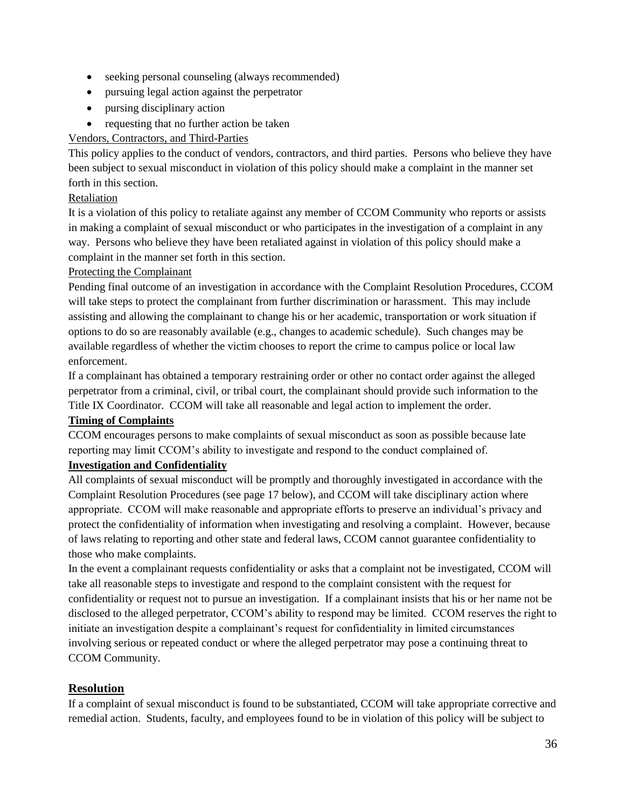- seeking personal counseling (always recommended)
- pursuing legal action against the perpetrator
- pursing disciplinary action
- requesting that no further action be taken

# Vendors, Contractors, and Third-Parties

This policy applies to the conduct of vendors, contractors, and third parties. Persons who believe they have been subject to sexual misconduct in violation of this policy should make a complaint in the manner set forth in this section.

# Retaliation

It is a violation of this policy to retaliate against any member of CCOM Community who reports or assists in making a complaint of sexual misconduct or who participates in the investigation of a complaint in any way. Persons who believe they have been retaliated against in violation of this policy should make a complaint in the manner set forth in this section.

#### Protecting the Complainant

Pending final outcome of an investigation in accordance with the Complaint Resolution Procedures, CCOM will take steps to protect the complainant from further discrimination or harassment. This may include assisting and allowing the complainant to change his or her academic, transportation or work situation if options to do so are reasonably available (e.g., changes to academic schedule). Such changes may be available regardless of whether the victim chooses to report the crime to campus police or local law enforcement.

If a complainant has obtained a temporary restraining order or other no contact order against the alleged perpetrator from a criminal, civil, or tribal court, the complainant should provide such information to the Title IX Coordinator. CCOM will take all reasonable and legal action to implement the order.

#### **Timing of Complaints**

CCOM encourages persons to make complaints of sexual misconduct as soon as possible because late reporting may limit CCOM's ability to investigate and respond to the conduct complained of.

#### **Investigation and Confidentiality**

All complaints of sexual misconduct will be promptly and thoroughly investigated in accordance with the Complaint Resolution Procedures (see page 17 below), and CCOM will take disciplinary action where appropriate. CCOM will make reasonable and appropriate efforts to preserve an individual's privacy and protect the confidentiality of information when investigating and resolving a complaint. However, because of laws relating to reporting and other state and federal laws, CCOM cannot guarantee confidentiality to those who make complaints.

In the event a complainant requests confidentiality or asks that a complaint not be investigated, CCOM will take all reasonable steps to investigate and respond to the complaint consistent with the request for confidentiality or request not to pursue an investigation. If a complainant insists that his or her name not be disclosed to the alleged perpetrator, CCOM's ability to respond may be limited. CCOM reserves the right to initiate an investigation despite a complainant's request for confidentiality in limited circumstances involving serious or repeated conduct or where the alleged perpetrator may pose a continuing threat to CCOM Community.

# **Resolution**

If a complaint of sexual misconduct is found to be substantiated, CCOM will take appropriate corrective and remedial action. Students, faculty, and employees found to be in violation of this policy will be subject to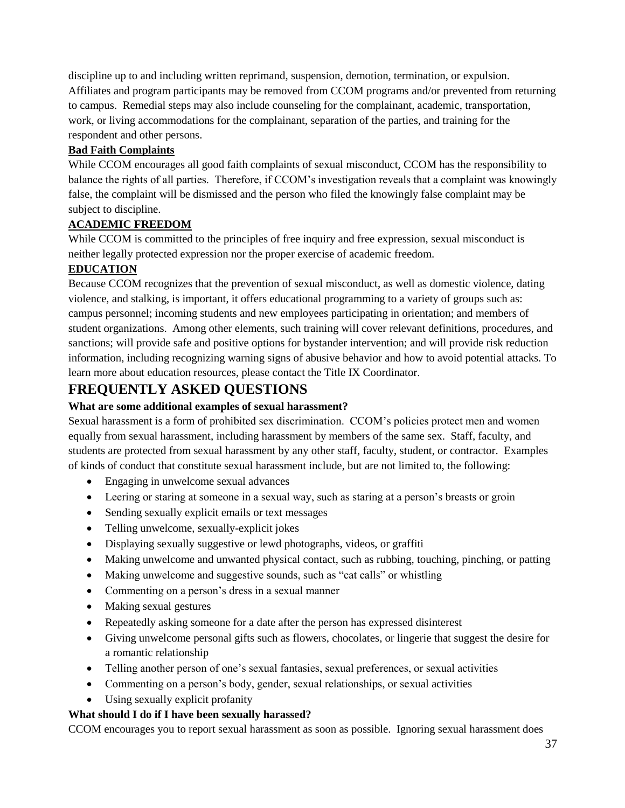discipline up to and including written reprimand, suspension, demotion, termination, or expulsion. Affiliates and program participants may be removed from CCOM programs and/or prevented from returning to campus. Remedial steps may also include counseling for the complainant, academic, transportation, work, or living accommodations for the complainant, separation of the parties, and training for the respondent and other persons.

# **Bad Faith Complaints**

While CCOM encourages all good faith complaints of sexual misconduct, CCOM has the responsibility to balance the rights of all parties. Therefore, if CCOM's investigation reveals that a complaint was knowingly false, the complaint will be dismissed and the person who filed the knowingly false complaint may be subject to discipline.

# **ACADEMIC FREEDOM**

While CCOM is committed to the principles of free inquiry and free expression, sexual misconduct is neither legally protected expression nor the proper exercise of academic freedom.

# **EDUCATION**

Because CCOM recognizes that the prevention of sexual misconduct, as well as domestic violence, dating violence, and stalking, is important, it offers educational programming to a variety of groups such as: campus personnel; incoming students and new employees participating in orientation; and members of student organizations. Among other elements, such training will cover relevant definitions, procedures, and sanctions; will provide safe and positive options for bystander intervention; and will provide risk reduction information, including recognizing warning signs of abusive behavior and how to avoid potential attacks. To learn more about education resources, please contact the Title IX Coordinator.

# **FREQUENTLY ASKED QUESTIONS**

#### **What are some additional examples of sexual harassment?**

Sexual harassment is a form of prohibited sex discrimination. CCOM's policies protect men and women equally from sexual harassment, including harassment by members of the same sex. Staff, faculty, and students are protected from sexual harassment by any other staff, faculty, student, or contractor. Examples of kinds of conduct that constitute sexual harassment include, but are not limited to, the following:

- Engaging in unwelcome sexual advances
- Leering or staring at someone in a sexual way, such as staring at a person's breasts or groin
- Sending sexually explicit emails or text messages
- Telling unwelcome, sexually-explicit jokes
- Displaying sexually suggestive or lewd photographs, videos, or graffiti
- Making unwelcome and unwanted physical contact, such as rubbing, touching, pinching, or patting
- Making unwelcome and suggestive sounds, such as "cat calls" or whistling
- Commenting on a person's dress in a sexual manner
- Making sexual gestures
- Repeatedly asking someone for a date after the person has expressed disinterest
- Giving unwelcome personal gifts such as flowers, chocolates, or lingerie that suggest the desire for a romantic relationship
- Telling another person of one's sexual fantasies, sexual preferences, or sexual activities
- Commenting on a person's body, gender, sexual relationships, or sexual activities
- Using sexually explicit profanity

#### **What should I do if I have been sexually harassed?**

CCOM encourages you to report sexual harassment as soon as possible. Ignoring sexual harassment does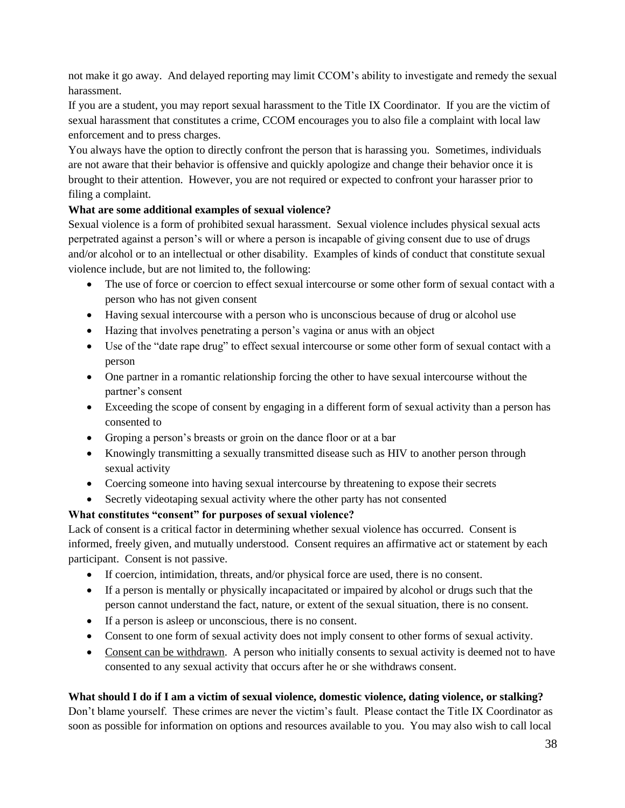not make it go away. And delayed reporting may limit CCOM's ability to investigate and remedy the sexual harassment.

If you are a student, you may report sexual harassment to the Title IX Coordinator. If you are the victim of sexual harassment that constitutes a crime, CCOM encourages you to also file a complaint with local law enforcement and to press charges.

You always have the option to directly confront the person that is harassing you. Sometimes, individuals are not aware that their behavior is offensive and quickly apologize and change their behavior once it is brought to their attention. However, you are not required or expected to confront your harasser prior to filing a complaint.

# **What are some additional examples of sexual violence?**

Sexual violence is a form of prohibited sexual harassment. Sexual violence includes physical sexual acts perpetrated against a person's will or where a person is incapable of giving consent due to use of drugs and/or alcohol or to an intellectual or other disability. Examples of kinds of conduct that constitute sexual violence include, but are not limited to, the following:

- The use of force or coercion to effect sexual intercourse or some other form of sexual contact with a person who has not given consent
- Having sexual intercourse with a person who is unconscious because of drug or alcohol use
- Hazing that involves penetrating a person's vagina or anus with an object
- Use of the "date rape drug" to effect sexual intercourse or some other form of sexual contact with a person
- One partner in a romantic relationship forcing the other to have sexual intercourse without the partner's consent
- Exceeding the scope of consent by engaging in a different form of sexual activity than a person has consented to
- Groping a person's breasts or groin on the dance floor or at a bar
- Knowingly transmitting a sexually transmitted disease such as HIV to another person through sexual activity
- Coercing someone into having sexual intercourse by threatening to expose their secrets
- Secretly videotaping sexual activity where the other party has not consented

#### **What constitutes "consent" for purposes of sexual violence?**

Lack of consent is a critical factor in determining whether sexual violence has occurred. Consent is informed, freely given, and mutually understood. Consent requires an affirmative act or statement by each participant. Consent is not passive.

- If coercion, intimidation, threats, and/or physical force are used, there is no consent.
- If a person is mentally or physically incapacitated or impaired by alcohol or drugs such that the person cannot understand the fact, nature, or extent of the sexual situation, there is no consent.
- If a person is asleep or unconscious, there is no consent.
- Consent to one form of sexual activity does not imply consent to other forms of sexual activity.
- Consent can be withdrawn. A person who initially consents to sexual activity is deemed not to have consented to any sexual activity that occurs after he or she withdraws consent.

#### **What should I do if I am a victim of sexual violence, domestic violence, dating violence, or stalking?**

Don't blame yourself. These crimes are never the victim's fault. Please contact the Title IX Coordinator as soon as possible for information on options and resources available to you. You may also wish to call local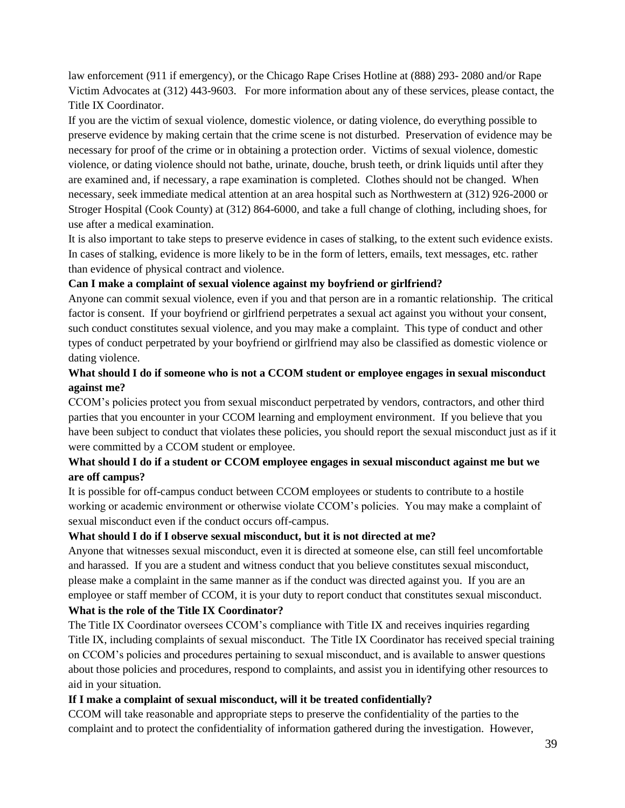law enforcement (911 if emergency), or the Chicago Rape Crises Hotline at (888) 293- 2080 and/or Rape Victim Advocates at (312) 443-9603. For more information about any of these services, please contact, the Title IX Coordinator.

If you are the victim of sexual violence, domestic violence, or dating violence, do everything possible to preserve evidence by making certain that the crime scene is not disturbed. Preservation of evidence may be necessary for proof of the crime or in obtaining a protection order. Victims of sexual violence, domestic violence, or dating violence should not bathe, urinate, douche, brush teeth, or drink liquids until after they are examined and, if necessary, a rape examination is completed. Clothes should not be changed. When necessary, seek immediate medical attention at an area hospital such as Northwestern at (312) 926-2000 or Stroger Hospital (Cook County) at (312) 864-6000, and take a full change of clothing, including shoes, for use after a medical examination.

It is also important to take steps to preserve evidence in cases of stalking, to the extent such evidence exists. In cases of stalking, evidence is more likely to be in the form of letters, emails, text messages, etc. rather than evidence of physical contract and violence.

#### **Can I make a complaint of sexual violence against my boyfriend or girlfriend?**

Anyone can commit sexual violence, even if you and that person are in a romantic relationship. The critical factor is consent. If your boyfriend or girlfriend perpetrates a sexual act against you without your consent, such conduct constitutes sexual violence, and you may make a complaint. This type of conduct and other types of conduct perpetrated by your boyfriend or girlfriend may also be classified as domestic violence or dating violence.

# **What should I do if someone who is not a CCOM student or employee engages in sexual misconduct against me?**

CCOM's policies protect you from sexual misconduct perpetrated by vendors, contractors, and other third parties that you encounter in your CCOM learning and employment environment. If you believe that you have been subject to conduct that violates these policies, you should report the sexual misconduct just as if it were committed by a CCOM student or employee.

#### **What should I do if a student or CCOM employee engages in sexual misconduct against me but we are off campus?**

It is possible for off-campus conduct between CCOM employees or students to contribute to a hostile working or academic environment or otherwise violate CCOM's policies. You may make a complaint of sexual misconduct even if the conduct occurs off-campus.

#### **What should I do if I observe sexual misconduct, but it is not directed at me?**

Anyone that witnesses sexual misconduct, even it is directed at someone else, can still feel uncomfortable and harassed. If you are a student and witness conduct that you believe constitutes sexual misconduct, please make a complaint in the same manner as if the conduct was directed against you. If you are an employee or staff member of CCOM, it is your duty to report conduct that constitutes sexual misconduct. **What is the role of the Title IX Coordinator?**

The Title IX Coordinator oversees CCOM's compliance with Title IX and receives inquiries regarding Title IX, including complaints of sexual misconduct. The Title IX Coordinator has received special training on CCOM's policies and procedures pertaining to sexual misconduct, and is available to answer questions about those policies and procedures, respond to complaints, and assist you in identifying other resources to aid in your situation.

#### **If I make a complaint of sexual misconduct, will it be treated confidentially?**

CCOM will take reasonable and appropriate steps to preserve the confidentiality of the parties to the complaint and to protect the confidentiality of information gathered during the investigation. However,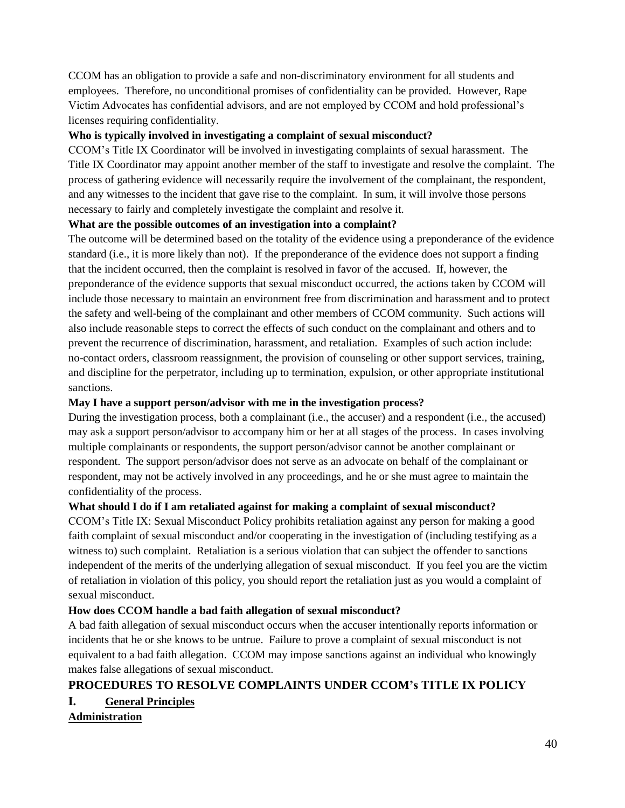CCOM has an obligation to provide a safe and non-discriminatory environment for all students and employees. Therefore, no unconditional promises of confidentiality can be provided. However, Rape Victim Advocates has confidential advisors, and are not employed by CCOM and hold professional's licenses requiring confidentiality.

#### **Who is typically involved in investigating a complaint of sexual misconduct?**

CCOM's Title IX Coordinator will be involved in investigating complaints of sexual harassment. The Title IX Coordinator may appoint another member of the staff to investigate and resolve the complaint. The process of gathering evidence will necessarily require the involvement of the complainant, the respondent, and any witnesses to the incident that gave rise to the complaint. In sum, it will involve those persons necessary to fairly and completely investigate the complaint and resolve it.

#### **What are the possible outcomes of an investigation into a complaint?**

The outcome will be determined based on the totality of the evidence using a preponderance of the evidence standard (i.e., it is more likely than not). If the preponderance of the evidence does not support a finding that the incident occurred, then the complaint is resolved in favor of the accused. If, however, the preponderance of the evidence supports that sexual misconduct occurred, the actions taken by CCOM will include those necessary to maintain an environment free from discrimination and harassment and to protect the safety and well-being of the complainant and other members of CCOM community. Such actions will also include reasonable steps to correct the effects of such conduct on the complainant and others and to prevent the recurrence of discrimination, harassment, and retaliation. Examples of such action include: no-contact orders, classroom reassignment, the provision of counseling or other support services, training, and discipline for the perpetrator, including up to termination, expulsion, or other appropriate institutional sanctions.

#### **May I have a support person/advisor with me in the investigation process?**

During the investigation process, both a complainant (i.e., the accuser) and a respondent (i.e., the accused) may ask a support person/advisor to accompany him or her at all stages of the process. In cases involving multiple complainants or respondents, the support person/advisor cannot be another complainant or respondent. The support person/advisor does not serve as an advocate on behalf of the complainant or respondent, may not be actively involved in any proceedings, and he or she must agree to maintain the confidentiality of the process.

#### **What should I do if I am retaliated against for making a complaint of sexual misconduct?**

CCOM's Title IX: Sexual Misconduct Policy prohibits retaliation against any person for making a good faith complaint of sexual misconduct and/or cooperating in the investigation of (including testifying as a witness to) such complaint. Retaliation is a serious violation that can subject the offender to sanctions independent of the merits of the underlying allegation of sexual misconduct. If you feel you are the victim of retaliation in violation of this policy, you should report the retaliation just as you would a complaint of sexual misconduct.

#### **How does CCOM handle a bad faith allegation of sexual misconduct?**

A bad faith allegation of sexual misconduct occurs when the accuser intentionally reports information or incidents that he or she knows to be untrue. Failure to prove a complaint of sexual misconduct is not equivalent to a bad faith allegation. CCOM may impose sanctions against an individual who knowingly makes false allegations of sexual misconduct.

# **PROCEDURES TO RESOLVE COMPLAINTS UNDER CCOM's TITLE IX POLICY**

**I. General Principles**

**Administration**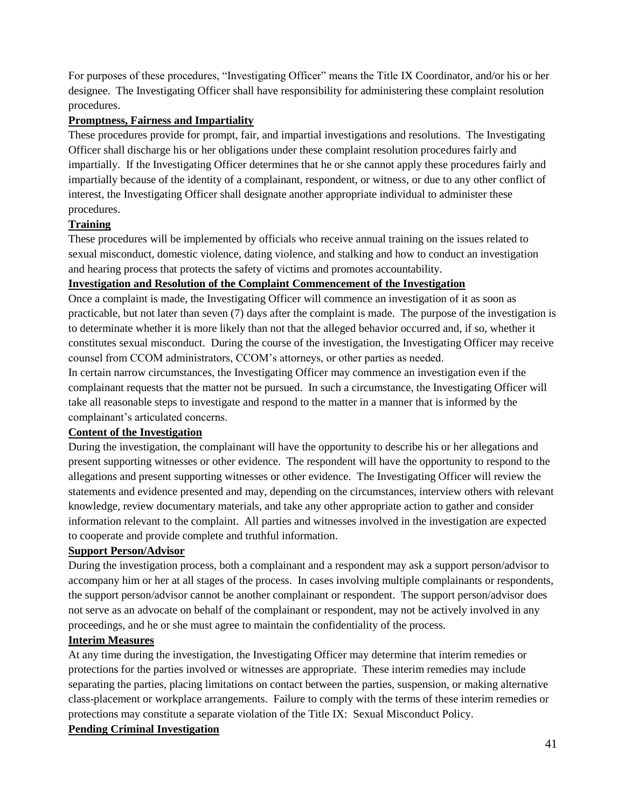For purposes of these procedures, "Investigating Officer" means the Title IX Coordinator, and/or his or her designee. The Investigating Officer shall have responsibility for administering these complaint resolution procedures.

#### **Promptness, Fairness and Impartiality**

These procedures provide for prompt, fair, and impartial investigations and resolutions. The Investigating Officer shall discharge his or her obligations under these complaint resolution procedures fairly and impartially. If the Investigating Officer determines that he or she cannot apply these procedures fairly and impartially because of the identity of a complainant, respondent, or witness, or due to any other conflict of interest, the Investigating Officer shall designate another appropriate individual to administer these procedures.

#### **Training**

These procedures will be implemented by officials who receive annual training on the issues related to sexual misconduct, domestic violence, dating violence, and stalking and how to conduct an investigation and hearing process that protects the safety of victims and promotes accountability.

#### **Investigation and Resolution of the Complaint Commencement of the Investigation**

Once a complaint is made, the Investigating Officer will commence an investigation of it as soon as practicable, but not later than seven (7) days after the complaint is made. The purpose of the investigation is to determinate whether it is more likely than not that the alleged behavior occurred and, if so, whether it constitutes sexual misconduct. During the course of the investigation, the Investigating Officer may receive counsel from CCOM administrators, CCOM's attorneys, or other parties as needed.

In certain narrow circumstances, the Investigating Officer may commence an investigation even if the complainant requests that the matter not be pursued. In such a circumstance, the Investigating Officer will take all reasonable steps to investigate and respond to the matter in a manner that is informed by the complainant's articulated concerns.

#### **Content of the Investigation**

During the investigation, the complainant will have the opportunity to describe his or her allegations and present supporting witnesses or other evidence. The respondent will have the opportunity to respond to the allegations and present supporting witnesses or other evidence. The Investigating Officer will review the statements and evidence presented and may, depending on the circumstances, interview others with relevant knowledge, review documentary materials, and take any other appropriate action to gather and consider information relevant to the complaint. All parties and witnesses involved in the investigation are expected to cooperate and provide complete and truthful information.

#### **Support Person/Advisor**

During the investigation process, both a complainant and a respondent may ask a support person/advisor to accompany him or her at all stages of the process. In cases involving multiple complainants or respondents, the support person/advisor cannot be another complainant or respondent. The support person/advisor does not serve as an advocate on behalf of the complainant or respondent, may not be actively involved in any proceedings, and he or she must agree to maintain the confidentiality of the process.

#### **Interim Measures**

At any time during the investigation, the Investigating Officer may determine that interim remedies or protections for the parties involved or witnesses are appropriate. These interim remedies may include separating the parties, placing limitations on contact between the parties, suspension, or making alternative class-placement or workplace arrangements. Failure to comply with the terms of these interim remedies or protections may constitute a separate violation of the Title IX: Sexual Misconduct Policy.

#### **Pending Criminal Investigation**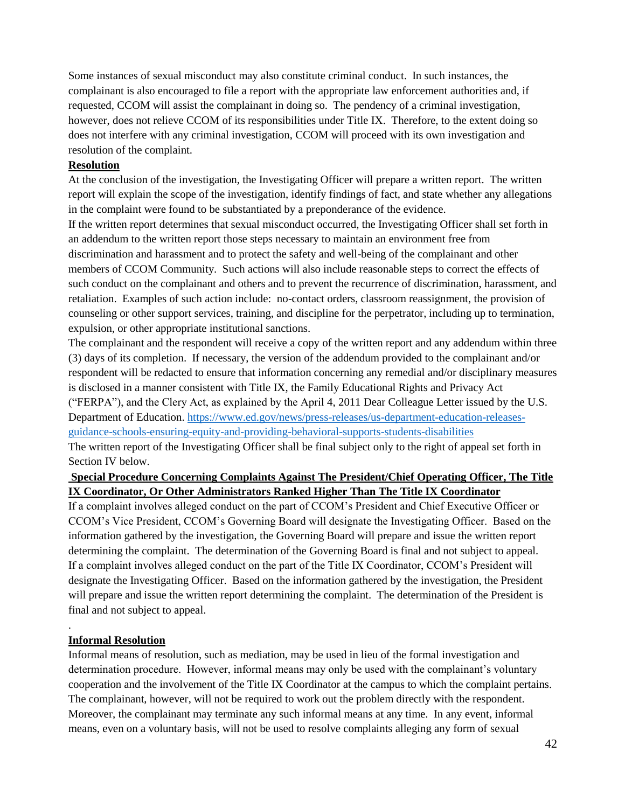Some instances of sexual misconduct may also constitute criminal conduct. In such instances, the complainant is also encouraged to file a report with the appropriate law enforcement authorities and, if requested, CCOM will assist the complainant in doing so. The pendency of a criminal investigation, however, does not relieve CCOM of its responsibilities under Title IX. Therefore, to the extent doing so does not interfere with any criminal investigation, CCOM will proceed with its own investigation and resolution of the complaint.

#### **Resolution**

At the conclusion of the investigation, the Investigating Officer will prepare a written report. The written report will explain the scope of the investigation, identify findings of fact, and state whether any allegations in the complaint were found to be substantiated by a preponderance of the evidence.

If the written report determines that sexual misconduct occurred, the Investigating Officer shall set forth in an addendum to the written report those steps necessary to maintain an environment free from discrimination and harassment and to protect the safety and well-being of the complainant and other members of CCOM Community. Such actions will also include reasonable steps to correct the effects of such conduct on the complainant and others and to prevent the recurrence of discrimination, harassment, and retaliation. Examples of such action include: no-contact orders, classroom reassignment, the provision of counseling or other support services, training, and discipline for the perpetrator, including up to termination, expulsion, or other appropriate institutional sanctions.

The complainant and the respondent will receive a copy of the written report and any addendum within three (3) days of its completion. If necessary, the version of the addendum provided to the complainant and/or respondent will be redacted to ensure that information concerning any remedial and/or disciplinary measures is disclosed in a manner consistent with Title IX, the Family Educational Rights and Privacy Act ("FERPA"), and the Clery Act, as explained by the April 4, 2011 Dear Colleague Letter issued by the U.S. Department of Education. [https://www.ed.gov/news/press-releases/us-department-education-releases](https://www.ed.gov/news/press-releases/us-department-education-releases-guidance-schools-ensuring-equity-and-providing-behavioral-supports-students-disabilities)[guidance-schools-ensuring-equity-and-providing-behavioral-supports-students-disabilities](https://www.ed.gov/news/press-releases/us-department-education-releases-guidance-schools-ensuring-equity-and-providing-behavioral-supports-students-disabilities) The written report of the Investigating Officer shall be final subject only to the right of appeal set forth in Section IV below.

# **Special Procedure Concerning Complaints Against The President/Chief Operating Officer, The Title IX Coordinator, Or Other Administrators Ranked Higher Than The Title IX Coordinator**

If a complaint involves alleged conduct on the part of CCOM's President and Chief Executive Officer or CCOM's Vice President, CCOM's Governing Board will designate the Investigating Officer. Based on the information gathered by the investigation, the Governing Board will prepare and issue the written report determining the complaint. The determination of the Governing Board is final and not subject to appeal. If a complaint involves alleged conduct on the part of the Title IX Coordinator, CCOM's President will designate the Investigating Officer. Based on the information gathered by the investigation, the President will prepare and issue the written report determining the complaint. The determination of the President is final and not subject to appeal.

#### **Informal Resolution**

.

Informal means of resolution, such as mediation, may be used in lieu of the formal investigation and determination procedure. However, informal means may only be used with the complainant's voluntary cooperation and the involvement of the Title IX Coordinator at the campus to which the complaint pertains. The complainant, however, will not be required to work out the problem directly with the respondent. Moreover, the complainant may terminate any such informal means at any time. In any event, informal means, even on a voluntary basis, will not be used to resolve complaints alleging any form of sexual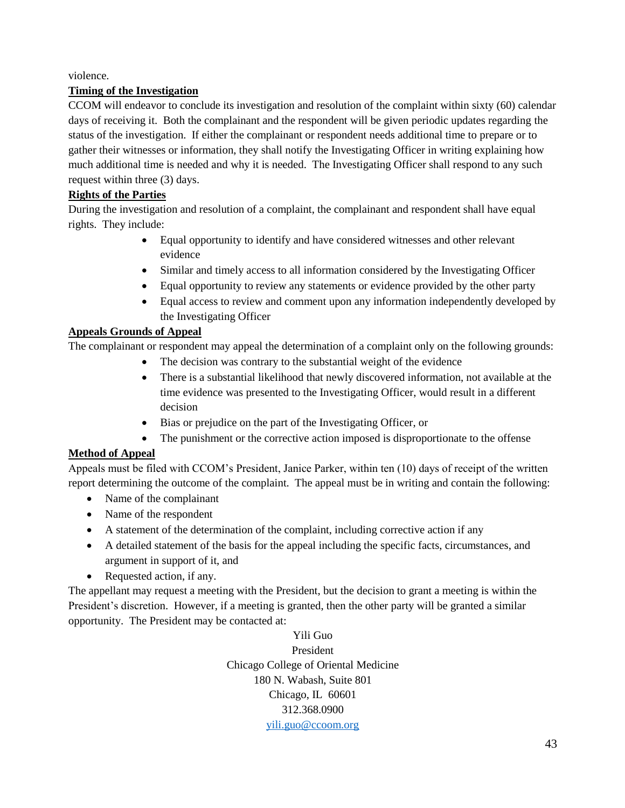violence.

# **Timing of the Investigation**

CCOM will endeavor to conclude its investigation and resolution of the complaint within sixty (60) calendar days of receiving it. Both the complainant and the respondent will be given periodic updates regarding the status of the investigation. If either the complainant or respondent needs additional time to prepare or to gather their witnesses or information, they shall notify the Investigating Officer in writing explaining how much additional time is needed and why it is needed. The Investigating Officer shall respond to any such request within three (3) days.

# **Rights of the Parties**

During the investigation and resolution of a complaint, the complainant and respondent shall have equal rights. They include:

- Equal opportunity to identify and have considered witnesses and other relevant evidence
- Similar and timely access to all information considered by the Investigating Officer
- Equal opportunity to review any statements or evidence provided by the other party
- Equal access to review and comment upon any information independently developed by the Investigating Officer

# **Appeals Grounds of Appeal**

The complainant or respondent may appeal the determination of a complaint only on the following grounds:

- The decision was contrary to the substantial weight of the evidence
- There is a substantial likelihood that newly discovered information, not available at the time evidence was presented to the Investigating Officer, would result in a different decision
- Bias or prejudice on the part of the Investigating Officer, or
- The punishment or the corrective action imposed is disproportionate to the offense

# **Method of Appeal**

Appeals must be filed with CCOM's President, Janice Parker, within ten (10) days of receipt of the written report determining the outcome of the complaint. The appeal must be in writing and contain the following:

- Name of the complainant
- Name of the respondent
- A statement of the determination of the complaint, including corrective action if any
- A detailed statement of the basis for the appeal including the specific facts, circumstances, and argument in support of it, and
- Requested action, if any.

The appellant may request a meeting with the President, but the decision to grant a meeting is within the President's discretion. However, if a meeting is granted, then the other party will be granted a similar opportunity. The President may be contacted at:

> Yili Guo President Chicago College of Oriental Medicine 180 N. Wabash, Suite 801 Chicago, IL 60601 312.368.0900 [yili.guo@ccoom.org](mailto:yili.guo@ccoom.org)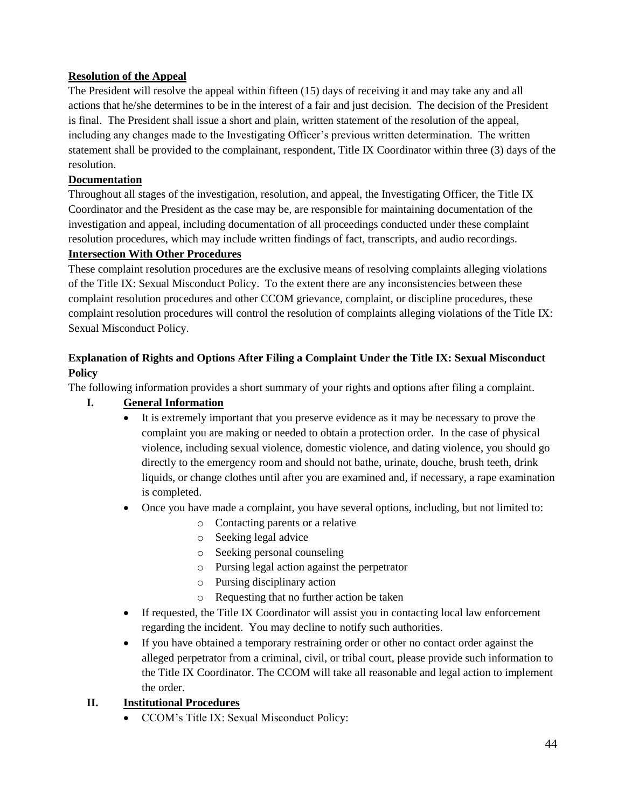# **Resolution of the Appeal**

The President will resolve the appeal within fifteen (15) days of receiving it and may take any and all actions that he/she determines to be in the interest of a fair and just decision. The decision of the President is final. The President shall issue a short and plain, written statement of the resolution of the appeal, including any changes made to the Investigating Officer's previous written determination. The written statement shall be provided to the complainant, respondent, Title IX Coordinator within three (3) days of the resolution.

# **Documentation**

Throughout all stages of the investigation, resolution, and appeal, the Investigating Officer, the Title IX Coordinator and the President as the case may be, are responsible for maintaining documentation of the investigation and appeal, including documentation of all proceedings conducted under these complaint resolution procedures, which may include written findings of fact, transcripts, and audio recordings.

#### **Intersection With Other Procedures**

These complaint resolution procedures are the exclusive means of resolving complaints alleging violations of the Title IX: Sexual Misconduct Policy. To the extent there are any inconsistencies between these complaint resolution procedures and other CCOM grievance, complaint, or discipline procedures, these complaint resolution procedures will control the resolution of complaints alleging violations of the Title IX: Sexual Misconduct Policy.

# **Explanation of Rights and Options After Filing a Complaint Under the Title IX: Sexual Misconduct Policy**

The following information provides a short summary of your rights and options after filing a complaint.

# **I. General Information**

- It is extremely important that you preserve evidence as it may be necessary to prove the complaint you are making or needed to obtain a protection order. In the case of physical violence, including sexual violence, domestic violence, and dating violence, you should go directly to the emergency room and should not bathe, urinate, douche, brush teeth, drink liquids, or change clothes until after you are examined and, if necessary, a rape examination is completed.
- Once you have made a complaint, you have several options, including, but not limited to:
	- o Contacting parents or a relative
	- o Seeking legal advice
	- o Seeking personal counseling
	- o Pursing legal action against the perpetrator
	- o Pursing disciplinary action
	- o Requesting that no further action be taken
- If requested, the Title IX Coordinator will assist you in contacting local law enforcement regarding the incident. You may decline to notify such authorities.
- If you have obtained a temporary restraining order or other no contact order against the alleged perpetrator from a criminal, civil, or tribal court, please provide such information to the Title IX Coordinator. The CCOM will take all reasonable and legal action to implement the order.

#### **II. Institutional Procedures**

• CCOM's Title IX: Sexual Misconduct Policy: